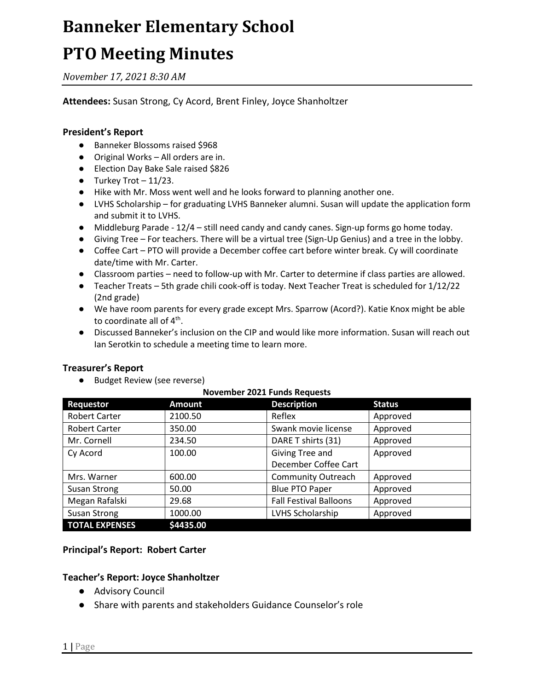## **Banneker Elementary School PTO Meeting Minutes**

*November 17, 2021 8:30 AM*

#### **Attendees:** Susan Strong, Cy Acord, Brent Finley, Joyce Shanholtzer

#### **President's Report**

- Banneker Blossoms raised \$968
- Original Works All orders are in.
- Election Day Bake Sale raised \$826
- $\bullet$  Turkey Trot  $-11/23$ .
- Hike with Mr. Moss went well and he looks forward to planning another one.
- LVHS Scholarship for graduating LVHS Banneker alumni. Susan will update the application form and submit it to LVHS.
- Middleburg Parade 12/4 still need candy and candy canes. Sign-up forms go home today.
- Giving Tree For teachers. There will be a virtual tree (Sign-Up Genius) and a tree in the lobby.
- Coffee Cart PTO will provide a December coffee cart before winter break. Cy will coordinate date/time with Mr. Carter.
- Classroom parties need to follow-up with Mr. Carter to determine if class parties are allowed.
- Teacher Treats 5th grade chili cook-off is today. Next Teacher Treat is scheduled for 1/12/22 (2nd grade)
- We have room parents for every grade except Mrs. Sparrow (Acord?). Katie Knox might be able to coordinate all of  $4^{\text{th}}$ .
- Discussed Banneker's inclusion on the CIP and would like more information. Susan will reach out Ian Serotkin to schedule a meeting time to learn more.

#### **Treasurer's Report**

● Budget Review (see reverse)

| Requestor             | <b>Amount</b> | <b>Description</b>            | <b>Status</b> |
|-----------------------|---------------|-------------------------------|---------------|
| <b>Robert Carter</b>  | 2100.50       | Reflex                        | Approved      |
| <b>Robert Carter</b>  | 350.00        | Swank movie license           | Approved      |
| Mr. Cornell           | 234.50        | DARE T shirts (31)            | Approved      |
| Cy Acord              | 100.00        | Giving Tree and               | Approved      |
|                       |               | December Coffee Cart          |               |
| Mrs. Warner           | 600.00        | <b>Community Outreach</b>     | Approved      |
| <b>Susan Strong</b>   | 50.00         | <b>Blue PTO Paper</b>         | Approved      |
| Megan Rafalski        | 29.68         | <b>Fall Festival Balloons</b> | Approved      |
| Susan Strong          | 1000.00       | LVHS Scholarship              | Approved      |
| <b>TOTAL EXPENSES</b> | \$4435.00     |                               |               |

#### **November 2021 Funds Requests**

#### **Principal's Report: Robert Carter**

#### **Teacher's Report: Joyce Shanholtzer**

- Advisory Council
- Share with parents and stakeholders Guidance Counselor's role